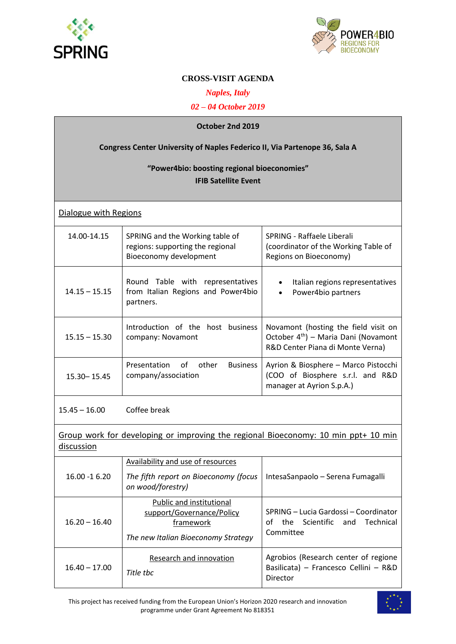



# **CROSS-VISIT AGENDA**

## *Naples, Italy*

*02 – 04 October 2019*

| October 2nd 2019                                                                  |                                                                                               |                                                                                                                              |  |
|-----------------------------------------------------------------------------------|-----------------------------------------------------------------------------------------------|------------------------------------------------------------------------------------------------------------------------------|--|
| <b>Congress Center University of Naples Federico II, Via Partenope 36, Sala A</b> |                                                                                               |                                                                                                                              |  |
| "Power4bio: boosting regional bioeconomies"<br><b>IFIB Satellite Event</b>        |                                                                                               |                                                                                                                              |  |
| Dialogue with Regions                                                             |                                                                                               |                                                                                                                              |  |
| 14.00-14.15                                                                       | SPRING and the Working table of<br>regions: supporting the regional<br>Bioeconomy development | SPRING - Raffaele Liberali<br>(coordinator of the Working Table of<br>Regions on Bioeconomy)                                 |  |
| $14.15 - 15.15$                                                                   | Round Table with representatives<br>from Italian Regions and Power4bio<br>partners.           | Italian regions representatives<br>Power4bio partners                                                                        |  |
| $15.15 - 15.30$                                                                   | Introduction of the host business<br>company: Novamont                                        | Novamont (hosting the field visit on<br>October 4 <sup>th</sup> ) - Maria Dani (Novamont<br>R&D Center Piana di Monte Verna) |  |
| 15.30 - 15.45                                                                     | of other<br>Presentation<br><b>Business</b><br>company/association                            | Ayrion & Biosphere - Marco Pistocchi<br>(COO of Biosphere s.r.l. and R&D<br>manager at Ayrion S.p.A.)                        |  |
| $15.45 - 16.00$                                                                   | Coffee break                                                                                  |                                                                                                                              |  |
|                                                                                   |                                                                                               |                                                                                                                              |  |

# Group work for developing or improving the regional Bioeconomy: 10 min ppt+ 10 min discussion

| $16.00 - 16.20$ | Availability and use of resources                                                                         |                                                                                           |
|-----------------|-----------------------------------------------------------------------------------------------------------|-------------------------------------------------------------------------------------------|
|                 | The fifth report on Bioeconomy (focus<br>on wood/forestry)                                                | IntesaSanpaolo - Serena Fumagalli                                                         |
| $16.20 - 16.40$ | Public and institutional<br>support/Governance/Policy<br>framework<br>The new Italian Bioeconomy Strategy | SPRING – Lucia Gardossi – Coordinator<br>the Scientific and Technical<br>Ωf<br>Committee  |
| $16.40 - 17.00$ | Research and innovation<br>Title thc                                                                      | Agrobios (Research center of regione<br>Basilicata) - Francesco Cellini - R&D<br>Director |

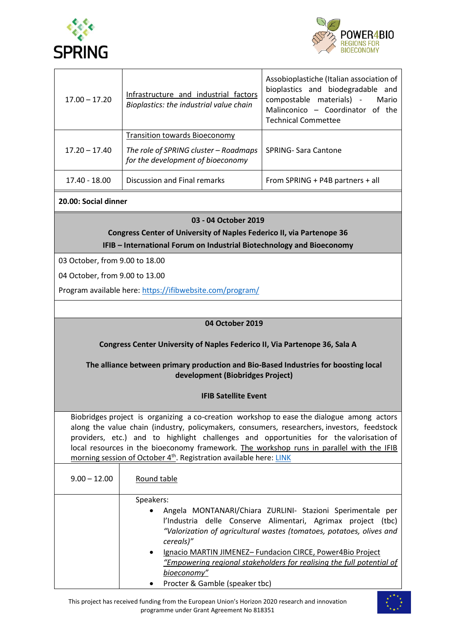



| $17.00 - 17.20$ | Infrastructure and industrial factors<br>Bioplastics: the industrial value chain                                   | Assobioplastiche (Italian association of<br>bioplastics and biodegradable and<br>compostable materials) -<br>Mario<br>Malinconico - Coordinator of the<br><b>Technical Commettee</b> |
|-----------------|--------------------------------------------------------------------------------------------------------------------|--------------------------------------------------------------------------------------------------------------------------------------------------------------------------------------|
| $17.20 - 17.40$ | <b>Transition towards Bioeconomy</b><br>The role of SPRING cluster - Roadmaps<br>for the development of bioeconomy | SPRING-Sara Cantone                                                                                                                                                                  |
| 17.40 - 18.00   | Discussion and Final remarks                                                                                       | From SPRING + P4B partners + all                                                                                                                                                     |

## **20.00: Social dinner**

#### **03 - 04 October 2019**

**Congress Center of University of Naples Federico II, via Partenope 36 IFIB – International Forum on Industrial Biotechnology and Bioeconomy**

03 October, from 9.00 to 18.00

04 October, from 9.00 to 13.00

Program available here[: https://ifibwebsite.com/program/](https://ifibwebsite.com/program/)

#### **04 October 2019**

### **Congress Center University of Naples Federico II, Via Partenope 36, Sala A**

### **The alliance between primary production and Bio-Based Industries for boosting local development (Biobridges Project)**

#### **IFIB Satellite Event**

Biobridges project is organizing a co-creation workshop to ease the dialogue among actors along the value chain (industry, policymakers, consumers, researchers, investors, feedstock providers, etc.) and to highlight challenges and opportunities for the valorisation of local resources in the bioeconomy framework. The workshop runs in parallel with the IFIB morning session of October 4<sup>th</sup>. Registration available here[: LINK](https://forms.office.com/Pages/ResponsePage.aspx?id=FgjCosZ-ekmt7riw9-RSca6ISvVW1XNAu-ZPSLBN2UpUMEowNlZVSENKRURKVldZQjlXVUhDTTRRWS4u)

| $9.00 - 12.00$ | Round table                                                                                                                                                                                                                     |
|----------------|---------------------------------------------------------------------------------------------------------------------------------------------------------------------------------------------------------------------------------|
|                | Speakers:                                                                                                                                                                                                                       |
|                | Angela MONTANARI/Chiara ZURLINI- Stazioni Sperimentale per<br>$\bullet$<br>l'Industria delle Conserve Alimentari, Agrimax project<br>(tbc)<br>"Valorization of agricultural wastes (tomatoes, potatoes, olives and<br>cereals)" |
|                | Ignacio MARTIN JIMENEZ- Fundacion CIRCE, Power4Bio Project<br>$\bullet$<br>"Empowering regional stakeholders for realising the full potential of<br>bioeconomy"                                                                 |
|                | Procter & Gamble (speaker tbc)<br>$\bullet$                                                                                                                                                                                     |

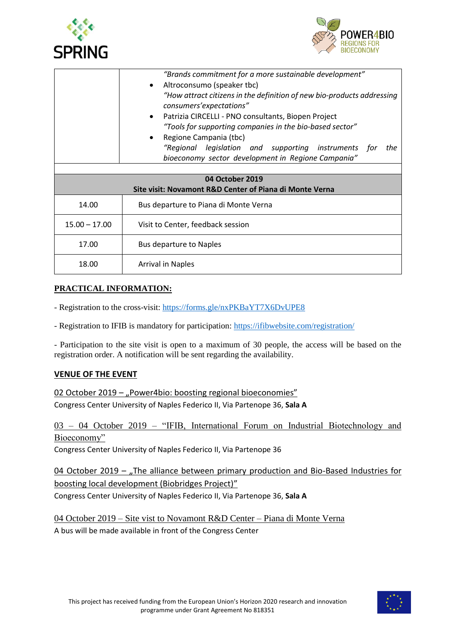



|                                                                            | "Brands commitment for a more sustainable development"<br>Altroconsumo (speaker tbc)<br>$\bullet$<br>"How attract citizens in the definition of new bio-products addressing<br>consumers'expectations"<br>Patrizia CIRCELLI - PNO consultants, Biopen Project<br>$\bullet$<br>"Tools for supporting companies in the bio-based sector"<br>Regione Campania (tbc)<br>"Regional legislation and supporting instruments for<br>the |  |
|----------------------------------------------------------------------------|---------------------------------------------------------------------------------------------------------------------------------------------------------------------------------------------------------------------------------------------------------------------------------------------------------------------------------------------------------------------------------------------------------------------------------|--|
|                                                                            | bioeconomy sector development in Regione Campania"                                                                                                                                                                                                                                                                                                                                                                              |  |
|                                                                            |                                                                                                                                                                                                                                                                                                                                                                                                                                 |  |
| 04 October 2019<br>Site visit: Novamont R&D Center of Piana di Monte Verna |                                                                                                                                                                                                                                                                                                                                                                                                                                 |  |
| 14.00                                                                      | Bus departure to Piana di Monte Verna                                                                                                                                                                                                                                                                                                                                                                                           |  |
| $15.00 - 17.00$                                                            | Visit to Center, feedback session                                                                                                                                                                                                                                                                                                                                                                                               |  |
| 17.00                                                                      | <b>Bus departure to Naples</b>                                                                                                                                                                                                                                                                                                                                                                                                  |  |
| 18.00                                                                      | <b>Arrival in Naples</b>                                                                                                                                                                                                                                                                                                                                                                                                        |  |

# **PRACTICAL INFORMATION:**

- Registration to the cross-visit:<https://forms.gle/nxPKBaYT7X6DvUPE8>

- Registration to IFIB is mandatory for participation:<https://ifibwebsite.com/registration/>

- Participation to the site visit is open to a maximum of 30 people, the access will be based on the registration order. A notification will be sent regarding the availability.

### **VENUE OF THE EVENT**

02 October 2019 – "Power4bio: boosting regional bioeconomies" Congress Center University of Naples Federico II, Via Partenope 36, **Sala A**

03 – 04 October 2019 – "IFIB, International Forum on Industrial Biotechnology and Bioeconomy"

Congress Center University of Naples Federico II, Via Partenope 36

04 October 2019 – "The alliance between primary production and Bio-Based Industries for boosting local development (Biobridges Project)" Congress Center University of Naples Federico II, Via Partenope 36, **Sala A**

04 October 2019 – Site vist to Novamont R&D Center – Piana di Monte Verna A bus will be made available in front of the Congress Center